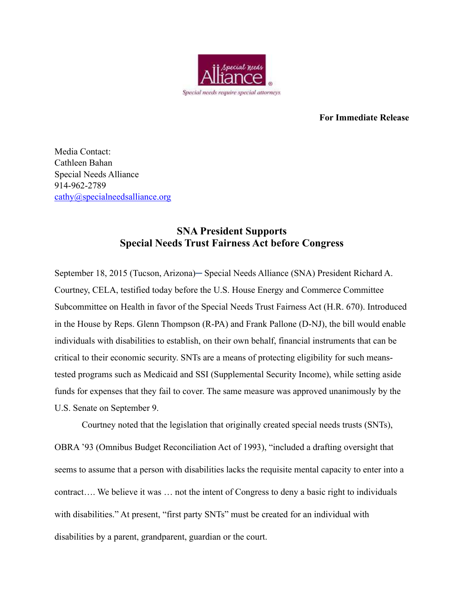

**For Immediate Release** 

Media Contact: Cathleen Bahan Special Needs Alliance 914-962-2789 [cathy@specialneedsalliance.org](mailto:cathy@specialneedsalliance.org)

## **SNA President Supports Special Needs Trust Fairness Act before Congress**

September 18, 2015 (Tucson, Arizona)─ Special Needs Alliance (SNA) President Richard A. Courtney, CELA, testified today before the U.S. House Energy and Commerce Committee Subcommittee on Health in favor of the Special Needs Trust Fairness Act (H.R. 670). Introduced in the House by Reps. Glenn Thompson (R-PA) and Frank Pallone (D-NJ), the bill would enable individuals with disabilities to establish, on their own behalf, financial instruments that can be critical to their economic security. SNTs are a means of protecting eligibility for such meanstested programs such as Medicaid and SSI (Supplemental Security Income), while setting aside funds for expenses that they fail to cover. The same measure was approved unanimously by the U.S. Senate on September 9.

Courtney noted that the legislation that originally created special needs trusts (SNTs),

OBRA '93 (Omnibus Budget Reconciliation Act of 1993), "included a drafting oversight that seems to assume that a person with disabilities lacks the requisite mental capacity to enter into a contract…. We believe it was … not the intent of Congress to deny a basic right to individuals with disabilities." At present, "first party SNTs" must be created for an individual with disabilities by a parent, grandparent, guardian or the court.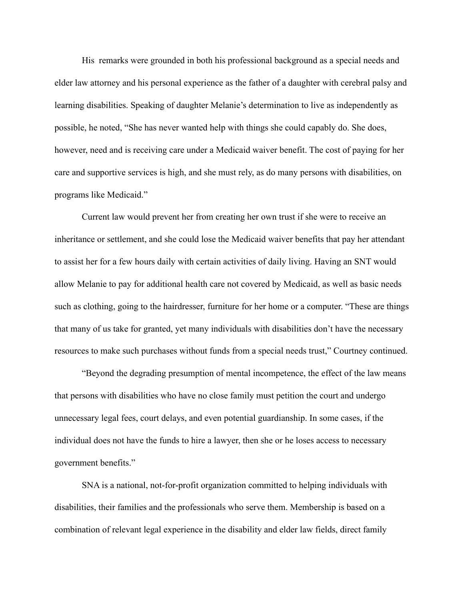His remarks were grounded in both his professional background as a special needs and elder law attorney and his personal experience as the father of a daughter with cerebral palsy and learning disabilities. Speaking of daughter Melanie's determination to live as independently as possible, he noted, "She has never wanted help with things she could capably do. She does, however, need and is receiving care under a Medicaid waiver benefit. The cost of paying for her care and supportive services is high, and she must rely, as do many persons with disabilities, on programs like Medicaid."

Current law would prevent her from creating her own trust if she were to receive an inheritance or settlement, and she could lose the Medicaid waiver benefits that pay her attendant to assist her for a few hours daily with certain activities of daily living. Having an SNT would allow Melanie to pay for additional health care not covered by Medicaid, as well as basic needs such as clothing, going to the hairdresser, furniture for her home or a computer. "These are things that many of us take for granted, yet many individuals with disabilities don't have the necessary resources to make such purchases without funds from a special needs trust," Courtney continued.

"Beyond the degrading presumption of mental incompetence, the effect of the law means that persons with disabilities who have no close family must petition the court and undergo unnecessary legal fees, court delays, and even potential guardianship. In some cases, if the individual does not have the funds to hire a lawyer, then she or he loses access to necessary government benefits."

SNA is a national, not-for-profit organization committed to helping individuals with disabilities, their families and the professionals who serve them. Membership is based on a combination of relevant legal experience in the disability and elder law fields, direct family